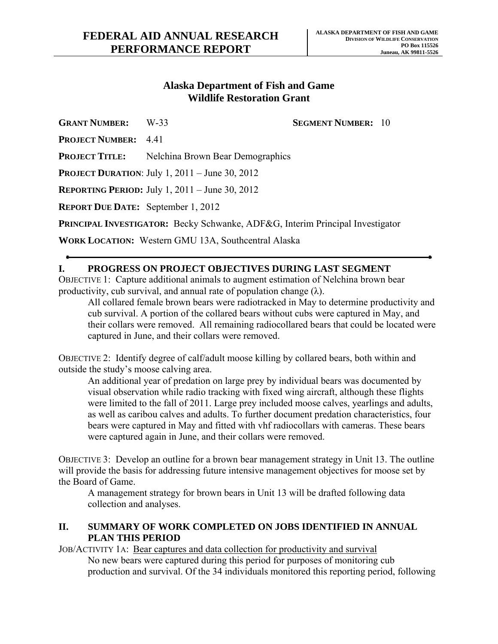## **Alaska Department of Fish and Game Wildlife Restoration Grant**

**GRANT NUMBER:** W-33 **SEGMENT NUMBER:** 10

**PROJECT NUMBER:** 4.41

**PROJECT TITLE:** Nelchina Brown Bear Demographics

**PROJECT DURATION**: July 1, 2011 – June 30, 2012

**REPORTING PERIOD:** July 1, 2011 – June 30, 2012

**REPORT DUE DATE:** September 1, 2012

**PRINCIPAL INVESTIGATOR:** Becky Schwanke, ADF&G, Interim Principal Investigator

**WORK LOCATION:** Western GMU 13A, Southcentral Alaska

## **I. PROGRESS ON PROJECT OBJECTIVES DURING LAST SEGMENT**

OBJECTIVE 1: Capture additional animals to augment estimation of Nelchina brown bear productivity, cub survival, and annual rate of population change  $(\lambda)$ .

All collared female brown bears were radiotracked in May to determine productivity and cub survival. A portion of the collared bears without cubs were captured in May, and their collars were removed. All remaining radiocollared bears that could be located were captured in June, and their collars were removed.

OBJECTIVE 2: Identify degree of calf/adult moose killing by collared bears, both within and outside the study's moose calving area.

An additional year of predation on large prey by individual bears was documented by visual observation while radio tracking with fixed wing aircraft, although these flights were limited to the fall of 2011. Large prey included moose calves, yearlings and adults, as well as caribou calves and adults. To further document predation characteristics, four bears were captured in May and fitted with vhf radiocollars with cameras. These bears were captured again in June, and their collars were removed.

OBJECTIVE 3: Develop an outline for a brown bear management strategy in Unit 13. The outline will provide the basis for addressing future intensive management objectives for moose set by the Board of Game.

A management strategy for brown bears in Unit 13 will be drafted following data collection and analyses.

## **II. SUMMARY OF WORK COMPLETED ON JOBS IDENTIFIED IN ANNUAL PLAN THIS PERIOD**

JOB/ACTIVITY 1A: Bear captures and data collection for productivity and survival No new bears were captured during this period for purposes of monitoring cub production and survival. Of the 34 individuals monitored this reporting period, following